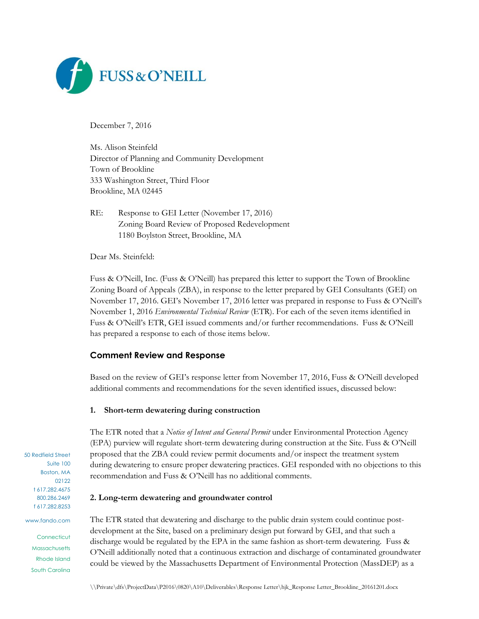

December 7, 2016

Ms. Alison Steinfeld Director of Planning and Community Development Town of Brookline 333 Washington Street, Third Floor Brookline, MA 02445

RE: Response to GEI Letter (November 17, 2016) Zoning Board Review of Proposed Redevelopment 1180 Boylston Street, Brookline, MA

Dear Ms. Steinfeld:

Fuss & O'Neill, Inc. (Fuss & O'Neill) has prepared this letter to support the Town of Brookline Zoning Board of Appeals (ZBA), in response to the letter prepared by GEI Consultants (GEI) on November 17, 2016. GEI's November 17, 2016 letter was prepared in response to Fuss & O'Neill's November 1, 2016 *Environmental Technical Review* (ETR). For each of the seven items identified in Fuss & O'Neill's ETR, GEI issued comments and/or further recommendations. Fuss & O'Neill has prepared a response to each of those items below.

## **Comment Review and Response**

Based on the review of GEI's response letter from November 17, 2016, Fuss & O'Neill developed additional comments and recommendations for the seven identified issues, discussed below:

#### **1. Short-term dewatering during construction**

The ETR noted that a *Notice of Intent and General Permit* under Environmental Protection Agency (EPA) purview will regulate short-term dewatering during construction at the Site. Fuss & O'Neill proposed that the ZBA could review permit documents and/or inspect the treatment system during dewatering to ensure proper dewatering practices. GEI responded with no objections to this recommendation and Fuss & O'Neill has no additional comments.

#### **2. Long-term dewatering and groundwater control**

The ETR stated that dewatering and discharge to the public drain system could continue postdevelopment at the Site, based on a preliminary design put forward by GEI, and that such a discharge would be regulated by the EPA in the same fashion as short-term dewatering. Fuss & O'Neill additionally noted that a continuous extraction and discharge of contaminated groundwater could be viewed by the Massachusetts Department of Environmental Protection (MassDEP) as a

\\Private\dfs\ProjectData\P2016\0820\A10\Deliverables\Response Letter\hjk\_Response Letter\_Brookline\_20161201.docx

50 Redfield Street Suite 100 Boston, MA 02122 t 617.282.4675 800.286.2469 f 617.282.8253

www.fando.com

**Connecticut Massachusetts** Rhode Island South Carolina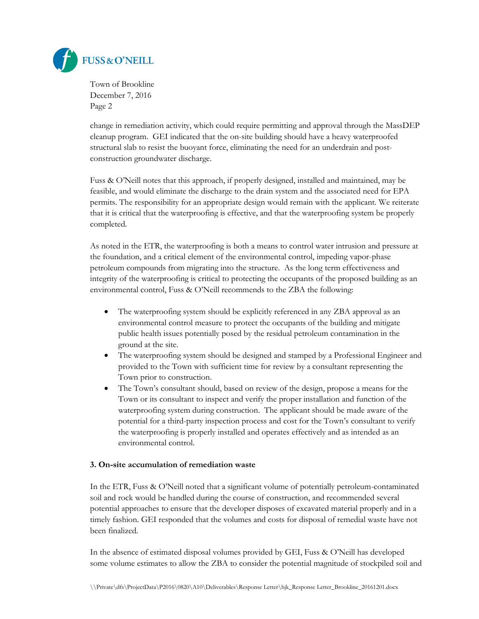

change in remediation activity, which could require permitting and approval through the MassDEP cleanup program. GEI indicated that the on-site building should have a heavy waterproofed structural slab to resist the buoyant force, eliminating the need for an underdrain and postconstruction groundwater discharge.

Fuss & O'Neill notes that this approach, if properly designed, installed and maintained, may be feasible, and would eliminate the discharge to the drain system and the associated need for EPA permits. The responsibility for an appropriate design would remain with the applicant. We reiterate that it is critical that the waterproofing is effective, and that the waterproofing system be properly completed.

As noted in the ETR, the waterproofing is both a means to control water intrusion and pressure at the foundation, and a critical element of the environmental control, impeding vapor-phase petroleum compounds from migrating into the structure. As the long term effectiveness and integrity of the waterproofing is critical to protecting the occupants of the proposed building as an environmental control, Fuss & O'Neill recommends to the ZBA the following:

- The waterproofing system should be explicitly referenced in any ZBA approval as an environmental control measure to protect the occupants of the building and mitigate public health issues potentially posed by the residual petroleum contamination in the ground at the site.
- The waterproofing system should be designed and stamped by a Professional Engineer and provided to the Town with sufficient time for review by a consultant representing the Town prior to construction.
- The Town's consultant should, based on review of the design, propose a means for the Town or its consultant to inspect and verify the proper installation and function of the waterproofing system during construction. The applicant should be made aware of the potential for a third-party inspection process and cost for the Town's consultant to verify the waterproofing is properly installed and operates effectively and as intended as an environmental control.

## **3. On-site accumulation of remediation waste**

In the ETR, Fuss & O'Neill noted that a significant volume of potentially petroleum-contaminated soil and rock would be handled during the course of construction, and recommended several potential approaches to ensure that the developer disposes of excavated material properly and in a timely fashion. GEI responded that the volumes and costs for disposal of remedial waste have not been finalized.

In the absence of estimated disposal volumes provided by GEI, Fuss & O'Neill has developed some volume estimates to allow the ZBA to consider the potential magnitude of stockpiled soil and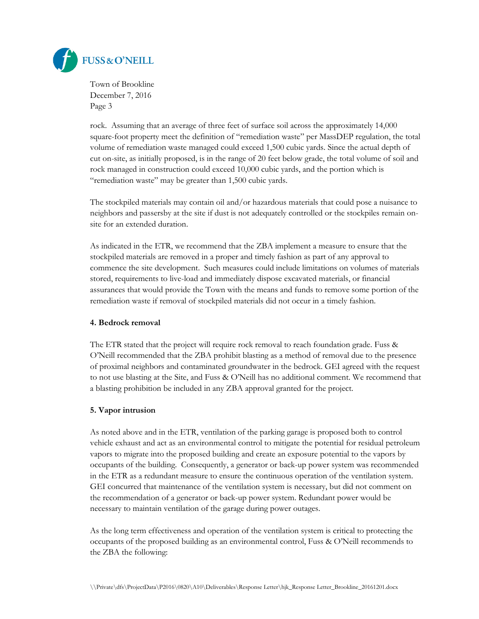

rock. Assuming that an average of three feet of surface soil across the approximately 14,000 square-foot property meet the definition of "remediation waste" per MassDEP regulation, the total volume of remediation waste managed could exceed 1,500 cubic yards. Since the actual depth of cut on-site, as initially proposed, is in the range of 20 feet below grade, the total volume of soil and rock managed in construction could exceed 10,000 cubic yards, and the portion which is "remediation waste" may be greater than 1,500 cubic yards.

The stockpiled materials may contain oil and/or hazardous materials that could pose a nuisance to neighbors and passersby at the site if dust is not adequately controlled or the stockpiles remain onsite for an extended duration.

As indicated in the ETR, we recommend that the ZBA implement a measure to ensure that the stockpiled materials are removed in a proper and timely fashion as part of any approval to commence the site development. Such measures could include limitations on volumes of materials stored, requirements to live-load and immediately dispose excavated materials, or financial assurances that would provide the Town with the means and funds to remove some portion of the remediation waste if removal of stockpiled materials did not occur in a timely fashion.

## **4. Bedrock removal**

The ETR stated that the project will require rock removal to reach foundation grade. Fuss & O'Neill recommended that the ZBA prohibit blasting as a method of removal due to the presence of proximal neighbors and contaminated groundwater in the bedrock. GEI agreed with the request to not use blasting at the Site, and Fuss & O'Neill has no additional comment. We recommend that a blasting prohibition be included in any ZBA approval granted for the project.

## **5. Vapor intrusion**

As noted above and in the ETR, ventilation of the parking garage is proposed both to control vehicle exhaust and act as an environmental control to mitigate the potential for residual petroleum vapors to migrate into the proposed building and create an exposure potential to the vapors by occupants of the building. Consequently, a generator or back-up power system was recommended in the ETR as a redundant measure to ensure the continuous operation of the ventilation system. GEI concurred that maintenance of the ventilation system is necessary, but did not comment on the recommendation of a generator or back-up power system. Redundant power would be necessary to maintain ventilation of the garage during power outages.

As the long term effectiveness and operation of the ventilation system is critical to protecting the occupants of the proposed building as an environmental control, Fuss & O'Neill recommends to the ZBA the following: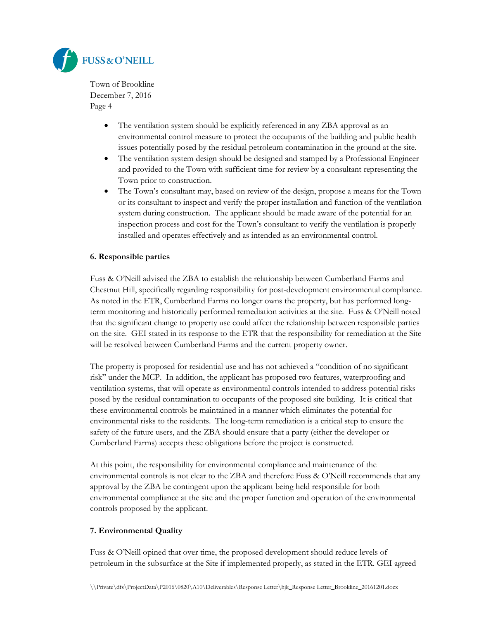

- The ventilation system should be explicitly referenced in any ZBA approval as an environmental control measure to protect the occupants of the building and public health issues potentially posed by the residual petroleum contamination in the ground at the site.
- The ventilation system design should be designed and stamped by a Professional Engineer and provided to the Town with sufficient time for review by a consultant representing the Town prior to construction.
- The Town's consultant may, based on review of the design, propose a means for the Town or its consultant to inspect and verify the proper installation and function of the ventilation system during construction. The applicant should be made aware of the potential for an inspection process and cost for the Town's consultant to verify the ventilation is properly installed and operates effectively and as intended as an environmental control.

## **6. Responsible parties**

Fuss & O'Neill advised the ZBA to establish the relationship between Cumberland Farms and Chestnut Hill, specifically regarding responsibility for post-development environmental compliance. As noted in the ETR, Cumberland Farms no longer owns the property, but has performed longterm monitoring and historically performed remediation activities at the site. Fuss & O'Neill noted that the significant change to property use could affect the relationship between responsible parties on the site. GEI stated in its response to the ETR that the responsibility for remediation at the Site will be resolved between Cumberland Farms and the current property owner.

The property is proposed for residential use and has not achieved a "condition of no significant risk" under the MCP. In addition, the applicant has proposed two features, waterproofing and ventilation systems, that will operate as environmental controls intended to address potential risks posed by the residual contamination to occupants of the proposed site building. It is critical that these environmental controls be maintained in a manner which eliminates the potential for environmental risks to the residents. The long-term remediation is a critical step to ensure the safety of the future users, and the ZBA should ensure that a party (either the developer or Cumberland Farms) accepts these obligations before the project is constructed.

At this point, the responsibility for environmental compliance and maintenance of the environmental controls is not clear to the ZBA and therefore Fuss & O'Neill recommends that any approval by the ZBA be contingent upon the applicant being held responsible for both environmental compliance at the site and the proper function and operation of the environmental controls proposed by the applicant.

## **7. Environmental Quality**

Fuss & O'Neill opined that over time, the proposed development should reduce levels of petroleum in the subsurface at the Site if implemented properly, as stated in the ETR. GEI agreed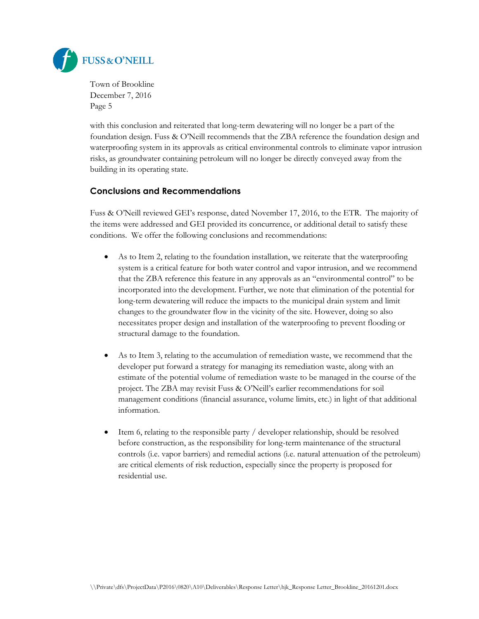

with this conclusion and reiterated that long-term dewatering will no longer be a part of the foundation design. Fuss & O'Neill recommends that the ZBA reference the foundation design and waterproofing system in its approvals as critical environmental controls to eliminate vapor intrusion risks, as groundwater containing petroleum will no longer be directly conveyed away from the building in its operating state.

# **Conclusions and Recommendations**

Fuss & O'Neill reviewed GEI's response, dated November 17, 2016, to the ETR. The majority of the items were addressed and GEI provided its concurrence, or additional detail to satisfy these conditions. We offer the following conclusions and recommendations:

- As to Item 2, relating to the foundation installation, we reiterate that the waterproofing system is a critical feature for both water control and vapor intrusion, and we recommend that the ZBA reference this feature in any approvals as an "environmental control" to be incorporated into the development. Further, we note that elimination of the potential for long-term dewatering will reduce the impacts to the municipal drain system and limit changes to the groundwater flow in the vicinity of the site. However, doing so also necessitates proper design and installation of the waterproofing to prevent flooding or structural damage to the foundation.
- As to Item 3, relating to the accumulation of remediation waste, we recommend that the developer put forward a strategy for managing its remediation waste, along with an estimate of the potential volume of remediation waste to be managed in the course of the project. The ZBA may revisit Fuss & O'Neill's earlier recommendations for soil management conditions (financial assurance, volume limits, etc.) in light of that additional information.
- Item 6, relating to the responsible party / developer relationship, should be resolved before construction, as the responsibility for long-term maintenance of the structural controls (i.e. vapor barriers) and remedial actions (i.e. natural attenuation of the petroleum) are critical elements of risk reduction, especially since the property is proposed for residential use.